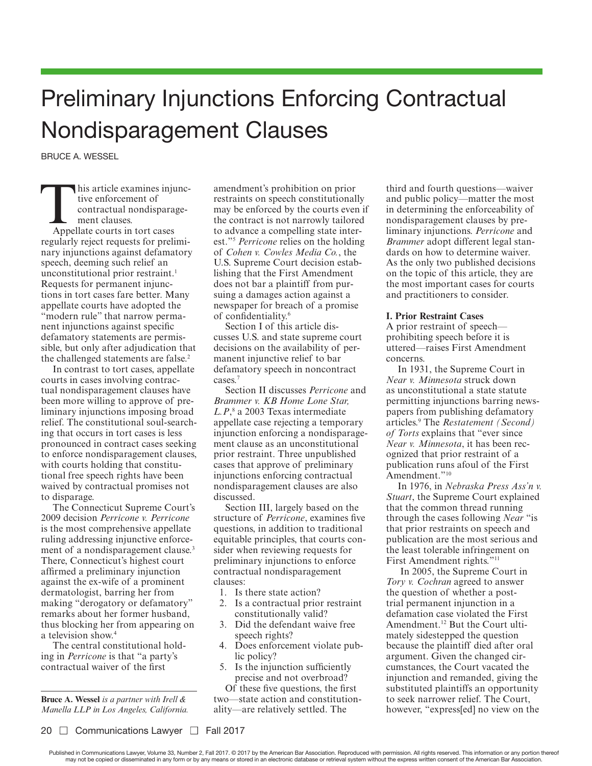# Preliminary Injunctions Enforcing Contractual Nondisparagement Clauses

BRUCE A. WESSEL

This article examines injunctive enforcement of<br>
contractual nondisparage-<br>
ment clauses.<br>
Appellate courts in tort cases tive enforcement of contractual nondisparagement clauses.

regularly reject requests for preliminary injunctions against defamatory speech, deeming such relief an unconstitutional prior restraint.<sup>1</sup> Requests for permanent injunctions in tort cases fare better. Many appellate courts have adopted the "modern rule" that narrow permanent injunctions against specific defamatory statements are permissible, but only after adjudication that the challenged statements are false.<sup>2</sup>

In contrast to tort cases, appellate courts in cases involving contractual nondisparagement clauses have been more willing to approve of preliminary injunctions imposing broad relief. The constitutional soul-searching that occurs in tort cases is less pronounced in contract cases seeking to enforce nondisparagement clauses, with courts holding that constitutional free speech rights have been waived by contractual promises not to disparage.

The Connecticut Supreme Court's 2009 decision *Perricone v. Perricone*  is the most comprehensive appellate ruling addressing injunctive enforcement of a nondisparagement clause.<sup>3</sup> There, Connecticut's highest court affirmed a preliminary injunction against the ex-wife of a prominent dermatologist, barring her from making "derogatory or defamatory" remarks about her former husband, thus blocking her from appearing on a television show.<sup>4</sup>

The central constitutional holding in *Perricone* is that "a party's contractual waiver of the first

**Bruce A. Wessel** *is a partner with Irell & Manella LLP in Los Angeles, California.* amendment's prohibition on prior restraints on speech constitutionally may be enforced by the courts even if the contract is not narrowly tailored to advance a compelling state interest."<sup>5</sup> *Perricone* relies on the holding of *Cohen v. Cowles Media Co.*, the U.S. Supreme Court decision establishing that the First Amendment does not bar a plaintiff from pursuing a damages action against a newspaper for breach of a promise of confidentiality.<sup>6</sup>

Section I of this article discusses U.S. and state supreme court decisions on the availability of permanent injunctive relief to bar defamatory speech in noncontract cases.<sup>7</sup>

Section II discusses *Perricone* and *Brammer v. KB Home Lone Star, L.P*, 8 a 2003 Texas intermediate appellate case rejecting a temporary injunction enforcing a nondisparagement clause as an unconstitutional prior restraint. Three unpublished cases that approve of preliminary injunctions enforcing contractual nondisparagement clauses are also discussed.

Section III, largely based on the structure of *Perricone*, examines five questions, in addition to traditional equitable principles, that courts consider when reviewing requests for preliminary injunctions to enforce contractual nondisparagement clauses:

- 1. Is there state action?
- 2. Is a contractual prior restraint constitutionally valid?
- 3. Did the defendant waive free speech rights?
- 4. Does enforcement violate public policy?
- 5. Is the injunction sufficiently precise and not overbroad?

Of these five questions, the first two—state action and constitutionality—are relatively settled. The

third and fourth questions—waiver and public policy—matter the most in determining the enforceability of nondisparagement clauses by preliminary injunctions. *Perricone* and *Brammer* adopt different legal standards on how to determine waiver. As the only two published decisions on the topic of this article, they are the most important cases for courts and practitioners to consider.

## **I. Prior Restraint Cases**

A prior restraint of speech prohibiting speech before it is uttered—raises First Amendment concerns.

In 1931, the Supreme Court in *Near v. Minnesota* struck down as unconstitutional a state statute permitting injunctions barring newspapers from publishing defamatory articles.<sup>9</sup> The *Restatement (Second) of Torts* explains that "ever since *Near v. Minnesota*, it has been recognized that prior restraint of a publication runs afoul of the First Amendment."<sup>10</sup>

In 1976, in *Nebraska Press Ass'n v. Stuart*, the Supreme Court explained that the common thread running through the cases following *Near* "is that prior restraints on speech and publication are the most serious and the least tolerable infringement on First Amendment rights."<sup>11</sup>

 In 2005, the Supreme Court in *Tory v. Cochran* agreed to answer the question of whether a posttrial permanent injunction in a defamation case violated the First Amendment.12 But the Court ultimately sidestepped the question because the plaintiff died after oral argument. Given the changed circumstances, the Court vacated the injunction and remanded, giving the substituted plaintiffs an opportunity to seek narrower relief. The Court, however, "express[ed] no view on the

Published in Communications Lawyer, Volume 33, Number 2, Fall 2017. @ 2017 by the American Bar Association. Reproduced with permission. All rights reserved. This information or any portion thereof may not be copied or disseminated in any form or by any means or stored in an electronic database or retrieval system without the express written consent of the American Bar Association.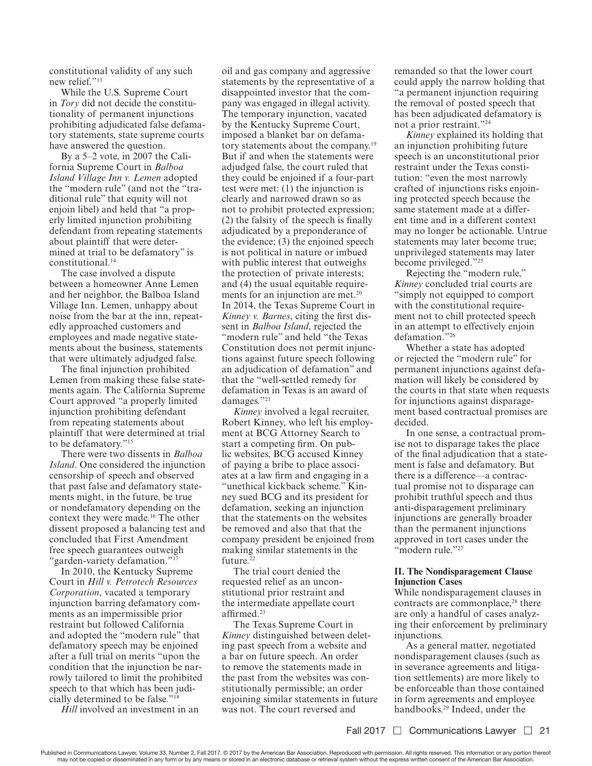constitutional validity of any such new relief."<sup>13</sup>

While the U.S. Supreme Court in *Tory* did not decide the constitutionality of permanent injunctions prohibiting adjudicated false defamatory statements, state supreme courts have answered the question.

By a 5–2 vote, in 2007 the California Supreme Court in *Balboa Island Village Inn v. Lemen* adopted the "modern rule" (and not the "traditional rule" that equity will not enjoin libel) and held that "a properly limited injunction prohibiting defendant from repeating statements about plaintiff that were determined at trial to be defamatory" is constitutional.<sup>14</sup>

The case involved a dispute between a homeowner Anne Lemen and her neighbor, the Balboa Island Village Inn. Lemen, unhappy about noise from the bar at the inn, repeatedly approached customers and employees and made negative statements about the business, statements that were ultimately adjudged false.

The final injunction prohibited Lemen from making these false statements again. The California Supreme Court approved "a properly limited injunction prohibiting defendant from repeating statements about plaintiff that were determined at trial to be defamatory."<sup>15</sup>

There were two dissents in *Balboa Island*. One considered the injunction censorship of speech and observed that past false and defamatory statements might, in the future, be true or nondefamatory depending on the context they were made.16 The other dissent proposed a balancing test and concluded that First Amendment free speech guarantees outweigh "garden-variety defamation."<sup>17</sup>

In 2010, the Kentucky Supreme Court in *Hill v. Petrotech Resources Corporation*, vacated a temporary injunction barring defamatory comments as an impermissible prior restraint but followed California and adopted the "modern rule" that defamatory speech may be enjoined after a full trial on merits "upon the condition that the injunction be narrowly tailored to limit the prohibited speech to that which has been judicially determined to be false."<sup>18</sup>

*Hill* involved an investment in an

oil and gas company and aggressive statements by the representative of a disappointed investor that the company was engaged in illegal activity. The temporary injunction, vacated by the Kentucky Supreme Court, imposed a blanket bar on defamatory statements about the company.<sup>19</sup> But if and when the statements were adjudged false, the court ruled that they could be enjoined if a four-part test were met: (1) the injunction is clearly and narrowed drawn so as not to prohibit protected expression; (2) the falsity of the speech is finally adjudicated by a preponderance of the evidence; (3) the enjoined speech is not political in nature or imbued with public interest that outweighs the protection of private interests; and (4) the usual equitable requirements for an injunction are met.<sup>20</sup> In 2014, the Texas Supreme Court in *Kinney v. Barnes*, citing the first dissent in *Balboa Island*, rejected the "modern rule" and held "the Texas Constitution does not permit injunctions against future speech following an adjudication of defamation" and that the "well-settled remedy for defamation in Texas is an award of damages."<sup>21</sup>

*Kinney* involved a legal recruiter, Robert Kinney, who left his employment at BCG Attorney Search to start a competing firm. On public websites, BCG accused Kinney of paying a bribe to place associates at a law firm and engaging in a "unethical kickback scheme." Kinney sued BCG and its president for defamation, seeking an injunction that the statements on the websites be removed and also that that the company president be enjoined from making similar statements in the future.<sup>22</sup>

The trial court denied the requested relief as an unconstitutional prior restraint and the intermediate appellate court affirmed.<sup>23</sup>

The Texas Supreme Court in *Kinney* distinguished between deleting past speech from a website and a bar on future speech. An order to remove the statements made in the past from the websites was constitutionally permissible; an order enjoining similar statements in future was not. The court reversed and

remanded so that the lower court could apply the narrow holding that "a permanent injunction requiring the removal of posted speech that has been adjudicated defamatory is not a prior restraint."<sup>24</sup>

*Kinney* explained its holding that an injunction prohibiting future speech is an unconstitutional prior restraint under the Texas constitution: "even the most narrowly crafted of injunctions risks enjoining protected speech because the same statement made at a different time and in a different context may no longer be actionable. Untrue statements may later become true; unprivileged statements may later become privileged."<sup>25</sup>

Rejecting the "modern rule," *Kinney* concluded trial courts are "simply not equipped to comport with the constitutional requirement not to chill protected speech in an attempt to effectively enjoin defamation."<sup>26</sup>

Whether a state has adopted or rejected the "modern rule" for permanent injunctions against defamation will likely be considered by the courts in that state when requests for injunctions against disparagement based contractual promises are decided.

In one sense, a contractual promise not to disparage takes the place of the final adjudication that a statement is false and defamatory. But there is a difference—a contractual promise not to disparage can prohibit truthful speech and thus anti-disparagement preliminary injunctions are generally broader than the permanent injunctions approved in tort cases under the "modern rule."<sup>27</sup>

## **II. The Nondisparagement Clause Injunction Cases**

While nondisparagement clauses in contracts are commonplace,<sup>28</sup> there are only a handful of cases analyzing their enforcement by preliminary injunctions.

As a general matter, negotiated nondisparagement clauses (such as in severance agreements and litigation settlements) are more likely to be enforceable than those contained in form agreements and employee handbooks.29 Indeed, under the

Published in Communications Lawyer, Volume 33, Number 2, Fall 2017. @ 2017 by the American Bar Association. Reproduced with permission. All rights reserved. This information or any portion thereof may not be copied or disseminated in any form or by any means or stored in an electronic database or retrieval system without the express written consent of the American Bar Association.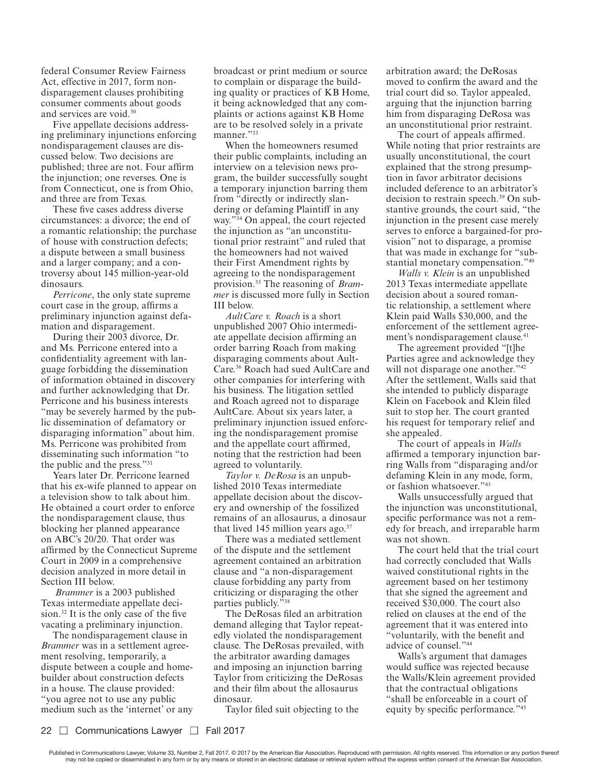federal Consumer Review Fairness Act, effective in 2017, form nondisparagement clauses prohibiting consumer comments about goods and services are void.<sup>30</sup>

Five appellate decisions addressing preliminary injunctions enforcing nondisparagement clauses are discussed below. Two decisions are published; three are not. Four affirm the injunction; one reverses. One is from Connecticut, one is from Ohio, and three are from Texas.

These five cases address diverse circumstances: a divorce; the end of a romantic relationship; the purchase of house with construction defects; a dispute between a small business and a larger company; and a controversy about 145 million-year-old dinosaurs.

*Perricone*, the only state supreme court case in the group, affirms a preliminary injunction against defamation and disparagement.

During their 2003 divorce, Dr. and Ms. Perricone entered into a confidentiality agreement with language forbidding the dissemination of information obtained in discovery and further acknowledging that Dr. Perricone and his business interests "may be severely harmed by the public dissemination of defamatory or disparaging information" about him. Ms. Perricone was prohibited from disseminating such information "to the public and the press."<sup>31</sup>

Years later Dr. Perricone learned that his ex-wife planned to appear on a television show to talk about him. He obtained a court order to enforce the nondisparagement clause, thus blocking her planned appearance on ABC's 20/20. That order was affirmed by the Connecticut Supreme Court in 2009 in a comprehensive decision analyzed in more detail in Section III below.

*Brammer* is a 2003 published Texas intermediate appellate decision.32 It is the only case of the five vacating a preliminary injunction.

The nondisparagement clause in *Brammer* was in a settlement agreement resolving, temporarily, a dispute between a couple and homebuilder about construction defects in a house. The clause provided: "you agree not to use any public medium such as the 'internet' or any broadcast or print medium or source to complain or disparage the building quality or practices of KB Home, it being acknowledged that any complaints or actions against KB Home are to be resolved solely in a private manner."33

When the homeowners resumed their public complaints, including an interview on a television news program, the builder successfully sought a temporary injunction barring them from "directly or indirectly slandering or defaming Plaintiff in any way."34 On appeal, the court rejected the injunction as "an unconstitutional prior restraint" and ruled that the homeowners had not waived their First Amendment rights by agreeing to the nondisparagement provision.35 The reasoning of *Brammer* is discussed more fully in Section III below.

*AultCare v. Roach* is a short unpublished 2007 Ohio intermediate appellate decision affirming an order barring Roach from making disparaging comments about Ault-Care.36 Roach had sued AultCare and other companies for interfering with his business. The litigation settled and Roach agreed not to disparage AultCare. About six years later, a preliminary injunction issued enforcing the nondisparagement promise and the appellate court affirmed, noting that the restriction had been agreed to voluntarily.

*Taylor v. DeRosa* is an unpublished 2010 Texas intermediate appellate decision about the discovery and ownership of the fossilized remains of an allosaurus, a dinosaur that lived 145 million years ago. $37$ 

There was a mediated settlement of the dispute and the settlement agreement contained an arbitration clause and "a non-disparagement clause forbidding any party from criticizing or disparaging the other parties publicly."<sup>38</sup>

The DeRosas filed an arbitration demand alleging that Taylor repeatedly violated the nondisparagement clause. The DeRosas prevailed, with the arbitrator awarding damages and imposing an injunction barring Taylor from criticizing the DeRosas and their film about the allosaurus dinosaur.

Taylor filed suit objecting to the

arbitration award; the DeRosas moved to confirm the award and the trial court did so. Taylor appealed, arguing that the injunction barring him from disparaging DeRosa was an unconstitutional prior restraint.

The court of appeals affirmed. While noting that prior restraints are usually unconstitutional, the court explained that the strong presumption in favor arbitrator decisions included deference to an arbitrator's decision to restrain speech.<sup>39</sup> On substantive grounds, the court said, "the injunction in the present case merely serves to enforce a bargained-for provision" not to disparage, a promise that was made in exchange for "substantial monetary compensation."<sup>40</sup>

*Walls v. Klein* is an unpublished 2013 Texas intermediate appellate decision about a soured romantic relationship, a settlement where Klein paid Walls \$30,000, and the enforcement of the settlement agreement's nondisparagement clause.<sup>41</sup>

The agreement provided "[t]he Parties agree and acknowledge they will not disparage one another."<sup>42</sup> After the settlement, Walls said that she intended to publicly disparage Klein on Facebook and Klein filed suit to stop her. The court granted his request for temporary relief and she appealed.

The court of appeals in *Walls* affirmed a temporary injunction barring Walls from "disparaging and/or defaming Klein in any mode, form, or fashion whatsoever."<sup>43</sup>

Walls unsuccessfully argued that the injunction was unconstitutional, specific performance was not a remedy for breach, and irreparable harm was not shown.

The court held that the trial court had correctly concluded that Walls waived constitutional rights in the agreement based on her testimony that she signed the agreement and received \$30,000. The court also relied on clauses at the end of the agreement that it was entered into "voluntarily, with the benefit and advice of counsel."<sup>44</sup>

Walls's argument that damages would suffice was rejected because the Walls/Klein agreement provided that the contractual obligations "shall be enforceable in a court of equity by specific performance."<sup>45</sup>

Published in Communications Lawyer, Volume 33, Number 2, Fall 2017. @ 2017 by the American Bar Association. Reproduced with permission. All rights reserved. This information or any portion thereof may not be copied or disseminated in any form or by any means or stored in an electronic database or retrieval system without the express written consent of the American Bar Association.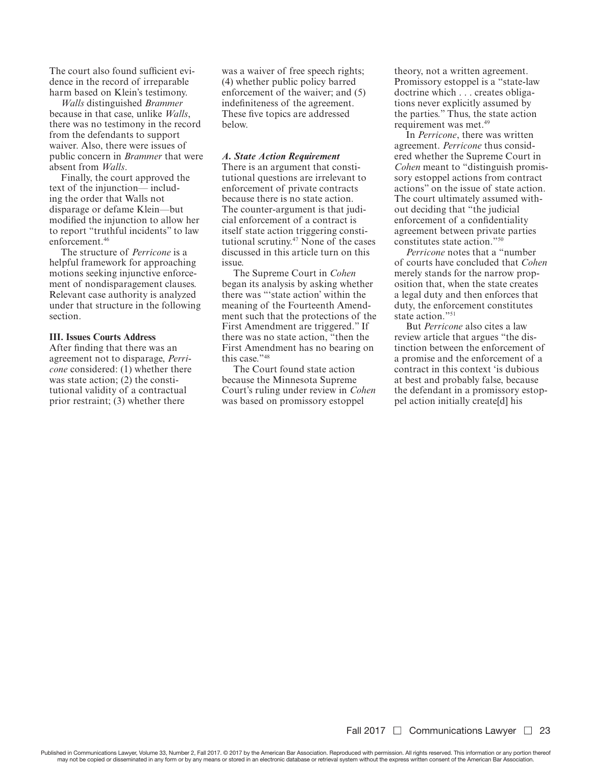The court also found sufficient evidence in the record of irreparable harm based on Klein's testimony.

*Walls* distinguished *Brammer* because in that case, unlike *Walls*, there was no testimony in the record from the defendants to support waiver. Also, there were issues of public concern in *Brammer* that were absent from *Walls*.

Finally, the court approved the text of the injunction— including the order that Walls not disparage or defame Klein—but modified the injunction to allow her to report "truthful incidents" to law enforcement.<sup>46</sup>

The structure of *Perricone* is a helpful framework for approaching motions seeking injunctive enforcement of nondisparagement clauses. Relevant case authority is analyzed under that structure in the following section.

## **III. Issues Courts Address**

After finding that there was an agreement not to disparage, *Perricone* considered: (1) whether there was state action; (2) the constitutional validity of a contractual prior restraint; (3) whether there

was a waiver of free speech rights; (4) whether public policy barred enforcement of the waiver; and (5) indefiniteness of the agreement. These five topics are addressed below.

#### *A. State Action Requirement*

There is an argument that constitutional questions are irrelevant to enforcement of private contracts because there is no state action. The counter-argument is that judicial enforcement of a contract is itself state action triggering constitutional scrutiny.47 None of the cases discussed in this article turn on this issue.

The Supreme Court in *Cohen*  began its analysis by asking whether there was "'state action' within the meaning of the Fourteenth Amendment such that the protections of the First Amendment are triggered." If there was no state action, "then the First Amendment has no bearing on this case."<sup>48</sup>

The Court found state action because the Minnesota Supreme Court's ruling under review in *Cohen* was based on promissory estoppel

theory, not a written agreement. Promissory estoppel is a "state-law doctrine which . . . creates obligations never explicitly assumed by the parties." Thus, the state action requirement was met.<sup>49</sup>

In *Perricone*, there was written agreement. *Perricone* thus considered whether the Supreme Court in *Cohen* meant to "distinguish promissory estoppel actions from contract actions" on the issue of state action. The court ultimately assumed without deciding that "the judicial enforcement of a confidentiality agreement between private parties constitutes state action."<sup>50</sup>

*Perricone* notes that a "number of courts have concluded that *Cohen* merely stands for the narrow proposition that, when the state creates a legal duty and then enforces that duty, the enforcement constitutes state action."<sup>51</sup>

But *Perricone* also cites a law review article that argues "the distinction between the enforcement of a promise and the enforcement of a contract in this context 'is dubious at best and probably false, because the defendant in a promissory estoppel action initially create[d] his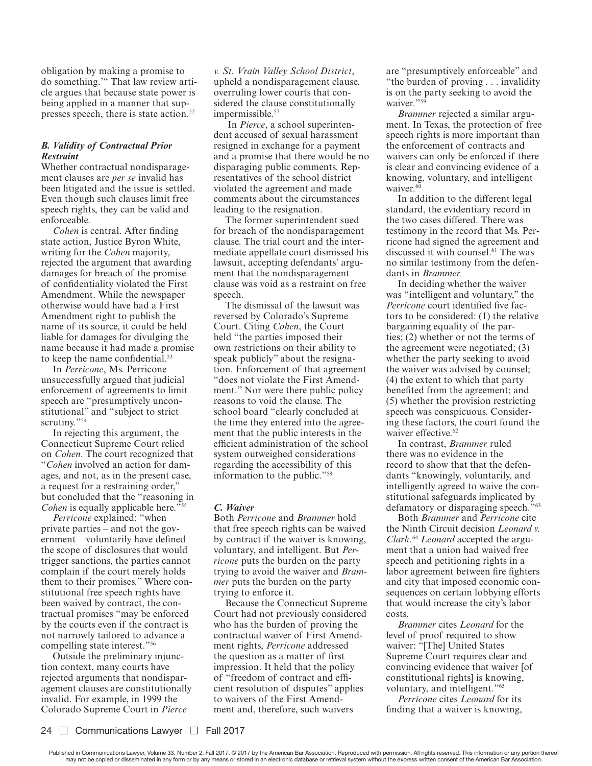obligation by making a promise to do something.'" That law review article argues that because state power is being applied in a manner that suppresses speech, there is state action.<sup>52</sup>

# *B. Validity of Contractual Prior Restraint*

Whether contractual nondisparagement clauses are *per se* invalid has been litigated and the issue is settled. Even though such clauses limit free speech rights, they can be valid and enforceable.

*Cohen* is central. After finding state action, Justice Byron White, writing for the *Cohen* majority, rejected the argument that awarding damages for breach of the promise of confidentiality violated the First Amendment. While the newspaper otherwise would have had a First Amendment right to publish the name of its source, it could be held liable for damages for divulging the name because it had made a promise to keep the name confidential.<sup>53</sup>

In *Perricone*, Ms. Perricone unsuccessfully argued that judicial enforcement of agreements to limit speech are "presumptively unconstitutional" and "subject to strict scrutiny."<sup>54</sup>

In rejecting this argument, the Connecticut Supreme Court relied on *Cohen*. The court recognized that "*Cohen* involved an action for damages, and not, as in the present case, a request for a restraining order," but concluded that the "reasoning in *Cohen* is equally applicable here."<sup>55</sup>

*Perricone* explained: "when private parties – and not the government – voluntarily have defined the scope of disclosures that would trigger sanctions, the parties cannot complain if the court merely holds them to their promises." Where constitutional free speech rights have been waived by contract, the contractual promises "may be enforced by the courts even if the contract is not narrowly tailored to advance a compelling state interest."<sup>56</sup>

Outside the preliminary injunction context, many courts have rejected arguments that nondisparagement clauses are constitutionally invalid. For example, in 1999 the Colorado Supreme Court in *Pierce* 

*v. St. Vrain Valley School District*, upheld a nondisparagement clause, overruling lower courts that considered the clause constitutionally impermissible.<sup>57</sup>

 In *Pierce*, a school superintendent accused of sexual harassment resigned in exchange for a payment and a promise that there would be no disparaging public comments. Representatives of the school district violated the agreement and made comments about the circumstances leading to the resignation.

The former superintendent sued for breach of the nondisparagement clause. The trial court and the intermediate appellate court dismissed his lawsuit, accepting defendants' argument that the nondisparagement clause was void as a restraint on free speech.

The dismissal of the lawsuit was reversed by Colorado's Supreme Court. Citing *Cohen*, the Court held "the parties imposed their own restrictions on their ability to speak publicly" about the resignation. Enforcement of that agreement "does not violate the First Amendment." Nor were there public policy reasons to void the clause. The school board "clearly concluded at the time they entered into the agreement that the public interests in the efficient administration of the school system outweighed considerations regarding the accessibility of this information to the public."<sup>58</sup>

# *C. Waiver*

Both *Perricone* and *Brammer* hold that free speech rights can be waived by contract if the waiver is knowing, voluntary, and intelligent. But *Perricone* puts the burden on the party trying to avoid the waiver and *Brammer* puts the burden on the party trying to enforce it.

Because the Connecticut Supreme Court had not previously considered who has the burden of proving the contractual waiver of First Amendment rights, *Perricone* addressed the question as a matter of first impression. It held that the policy of "freedom of contract and efficient resolution of disputes" applies to waivers of the First Amendment and, therefore, such waivers

are "presumptively enforceable" and "the burden of proving . . . invalidity is on the party seeking to avoid the waiver."<sup>59</sup>

*Brammer* rejected a similar argument. In Texas, the protection of free speech rights is more important than the enforcement of contracts and waivers can only be enforced if there is clear and convincing evidence of a knowing, voluntary, and intelligent waiver.<sup>60</sup>

In addition to the different legal standard, the evidentiary record in the two cases differed. There was testimony in the record that Ms. Perricone had signed the agreement and discussed it with counsel.61 The was no similar testimony from the defendants in *Brammer.*

In deciding whether the waiver was "intelligent and voluntary," the *Perricone* court identified five factors to be considered: (1) the relative bargaining equality of the parties; (2) whether or not the terms of the agreement were negotiated; (3) whether the party seeking to avoid the waiver was advised by counsel; (4) the extent to which that party benefited from the agreement; and (5) whether the provision restricting speech was conspicuous. Considering these factors, the court found the waiver effective.<sup>62</sup>

In contrast, *Brammer* ruled there was no evidence in the record to show that that the defendants "knowingly, voluntarily, and intelligently agreed to waive the constitutional safeguards implicated by defamatory or disparaging speech."<sup>63</sup>

Both *Brammer* and *Perricone* cite the Ninth Circuit decision *Leonard v. Clark.*64 *Leonard* accepted the argument that a union had waived free speech and petitioning rights in a labor agreement between fire fighters and city that imposed economic consequences on certain lobbying efforts that would increase the city's labor costs.

*Brammer* cites *Leonard* for the level of proof required to show waiver: "[The] United States Supreme Court requires clear and convincing evidence that waiver [of constitutional rights] is knowing, voluntary, and intelligent."<sup>65</sup>

*Perricone* cites *Leonard* for its finding that a waiver is knowing,

Published in Communications Lawyer, Volume 33, Number 2, Fall 2017. @ 2017 by the American Bar Association. Reproduced with permission. All rights reserved. This information or any portion thereof may not be copied or disseminated in any form or by any means or stored in an electronic database or retrieval system without the express written consent of the American Bar Association.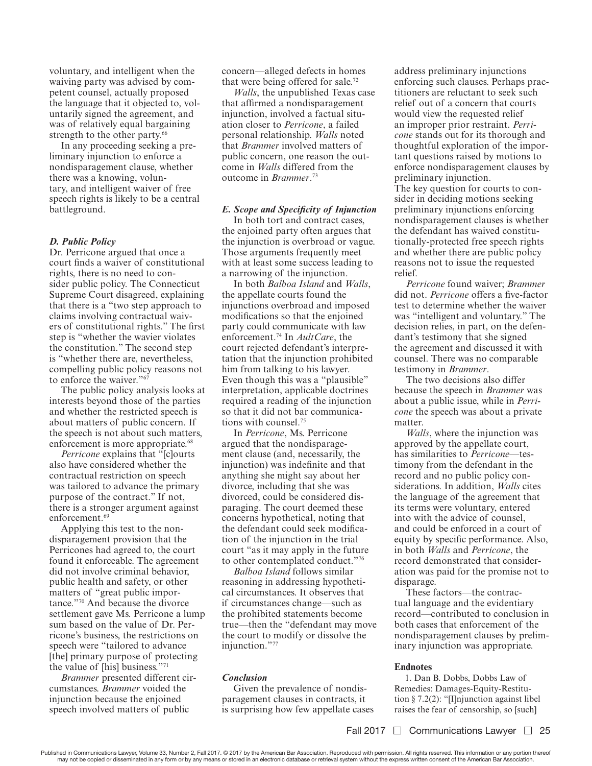voluntary, and intelligent when the waiving party was advised by competent counsel, actually proposed the language that it objected to, voluntarily signed the agreement, and was of relatively equal bargaining strength to the other party.<sup>66</sup>

In any proceeding seeking a preliminary injunction to enforce a nondisparagement clause, whether there was a knowing, voluntary, and intelligent waiver of free speech rights is likely to be a central battleground.

## *D. Public Policy*

Dr. Perricone argued that once a court finds a waiver of constitutional rights, there is no need to consider public policy. The Connecticut Supreme Court disagreed, explaining that there is a "two step approach to claims involving contractual waivers of constitutional rights." The first step is "whether the wavier violates the constitution." The second step is "whether there are, nevertheless, compelling public policy reasons not to enforce the waiver."<sup>67</sup>

The public policy analysis looks at interests beyond those of the parties and whether the restricted speech is about matters of public concern. If the speech is not about such matters, enforcement is more appropriate.<sup>68</sup>

*Perricone* explains that "[c]ourts also have considered whether the contractual restriction on speech was tailored to advance the primary purpose of the contract." If not, there is a stronger argument against enforcement.<sup>69</sup>

Applying this test to the nondisparagement provision that the Perricones had agreed to, the court found it enforceable. The agreement did not involve criminal behavior, public health and safety, or other matters of "great public importance."70 And because the divorce settlement gave Ms. Perricone a lump sum based on the value of Dr. Perricone's business, the restrictions on speech were "tailored to advance [the] primary purpose of protecting the value of [his] business."<sup>71</sup>

*Brammer* presented different circumstances. *Brammer* voided the injunction because the enjoined speech involved matters of public

concern—alleged defects in homes that were being offered for sale.<sup>72</sup>

*Walls*, the unpublished Texas case that affirmed a nondisparagement injunction, involved a factual situation closer to *Perricone*, a failed personal relationship. *Walls* noted that *Brammer* involved matters of public concern, one reason the outcome in *Walls* differed from the outcome in *Brammer*. 73

# *E. Scope and Specificity of Injunction*

In both tort and contract cases, the enjoined party often argues that the injunction is overbroad or vague. Those arguments frequently meet with at least some success leading to a narrowing of the injunction.

In both *Balboa Island* and *Walls*, the appellate courts found the injunctions overbroad and imposed modifications so that the enjoined party could communicate with law enforcement.74 In *AultCare*, the court rejected defendant's interpretation that the injunction prohibited him from talking to his lawyer. Even though this was a "plausible" interpretation, applicable doctrines required a reading of the injunction so that it did not bar communications with counsel.<sup>75</sup>

In *Perricone*, Ms. Perricone argued that the nondisparagement clause (and, necessarily, the injunction) was indefinite and that anything she might say about her divorce, including that she was divorced, could be considered disparaging. The court deemed these concerns hypothetical, noting that the defendant could seek modification of the injunction in the trial court "as it may apply in the future to other contemplated conduct."<sup>76</sup>

*Balboa Island* follows similar reasoning in addressing hypothetical circumstances. It observes that if circumstances change—such as the prohibited statements become true—then the "defendant may move the court to modify or dissolve the injunction."<sup>77</sup>

# *Conclusion*

Given the prevalence of nondisparagement clauses in contracts, it is surprising how few appellate cases address preliminary injunctions enforcing such clauses. Perhaps practitioners are reluctant to seek such relief out of a concern that courts would view the requested relief an improper prior restraint. *Perricone* stands out for its thorough and thoughtful exploration of the important questions raised by motions to enforce nondisparagement clauses by preliminary injunction.

The key question for courts to consider in deciding motions seeking preliminary injunctions enforcing nondisparagement clauses is whether the defendant has waived constitutionally-protected free speech rights and whether there are public policy reasons not to issue the requested relief.

*Perricone* found waiver; *Brammer*  did not. *Perricone* offers a five-factor test to determine whether the waiver was "intelligent and voluntary." The decision relies, in part, on the defendant's testimony that she signed the agreement and discussed it with counsel. There was no comparable testimony in *Brammer*.

The two decisions also differ because the speech in *Brammer* was about a public issue, while in *Perricone* the speech was about a private matter.

*Walls*, where the injunction was approved by the appellate court, has similarities to *Perricone*—testimony from the defendant in the record and no public policy considerations. In addition, *Walls* cites the language of the agreement that its terms were voluntary, entered into with the advice of counsel, and could be enforced in a court of equity by specific performance. Also, in both *Walls* and *Perricone*, the record demonstrated that consideration was paid for the promise not to disparage.

These factors—the contractual language and the evidentiary record—contributed to conclusion in both cases that enforcement of the nondisparagement clauses by preliminary injunction was appropriate.

#### **Endnotes**

1. Dan B. Dobbs, Dobbs Law of Remedies: Damages-Equity-Restitution § 7.2(2): "[I]njunction against libel raises the fear of censorship, so [such]

Published in Communications Lawyer, Volume 33, Number 2, Fall 2017. @ 2017 by the American Bar Association. Reproduced with permission. All rights reserved. This information or any portion thereof may not be copied or disseminated in any form or by any means or stored in an electronic database or retrieval system without the express written consent of the American Bar Association.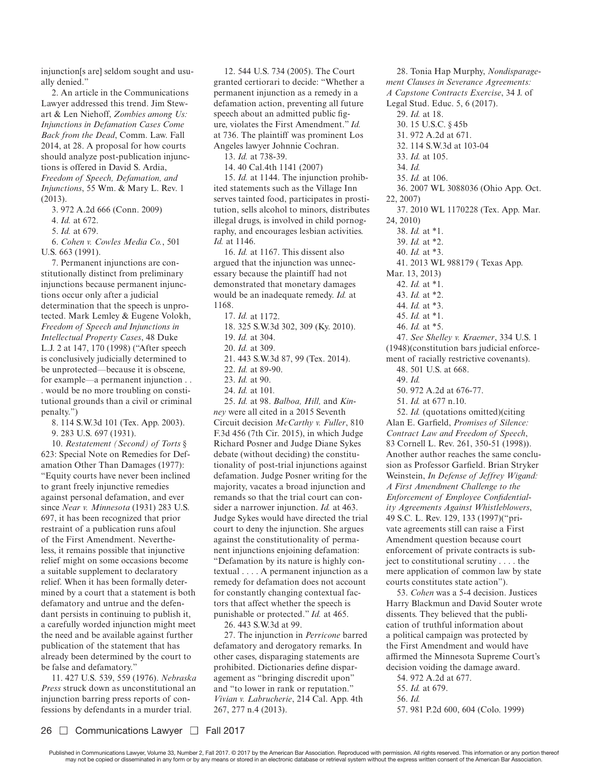injunction[s are] seldom sought and usually denied."

2. An article in the Communications Lawyer addressed this trend. Jim Stewart & Len Niehoff, *Zombies among Us: Injunctions in Defamation Cases Come Back from the Dead*, Comm. Law. Fall 2014, at 28. A proposal for how courts should analyze post-publication injunctions is offered in David S. Ardia, *Freedom of Speech, Defamation, and Injunctions*, 55 Wm. & Mary L. Rev. 1 (2013).

3. 972 A.2d 666 (Conn. 2009)

4. *Id.* at 672.

5. *Id.* at 679.

6. *Cohen v. Cowles Media Co.*, 501 U.S. 663 (1991).

7. Permanent injunctions are constitutionally distinct from preliminary injunctions because permanent injunctions occur only after a judicial determination that the speech is unprotected. Mark Lemley & Eugene Volokh, *Freedom of Speech and Injunctions in Intellectual Property Cases*, 48 Duke L.J. 2 at 147, 170 (1998) ("After speech is conclusively judicially determined to be unprotected—because it is obscene, for example—a permanent injunction . . . would be no more troubling on constitutional grounds than a civil or criminal penalty.")

8. 114 S.W.3d 101 (Tex. App. 2003). 9. 283 U.S. 697 (1931).

10. *Restatement (Second) of Torts* § 623: Special Note on Remedies for Defamation Other Than Damages (1977): "Equity courts have never been inclined to grant freely injunctive remedies against personal defamation, and ever since *Near v. Minnesota* (1931) 283 U.S. 697, it has been recognized that prior restraint of a publication runs afoul of the First Amendment. Nevertheless, it remains possible that injunctive relief might on some occasions become a suitable supplement to declaratory relief. When it has been formally determined by a court that a statement is both defamatory and untrue and the defendant persists in continuing to publish it, a carefully worded injunction might meet the need and be available against further publication of the statement that has already been determined by the court to be false and defamatory."

11. 427 U.S. 539, 559 (1976). *Nebraska Press* struck down as unconstitutional an injunction barring press reports of confessions by defendants in a murder trial.

12. 544 U.S. 734 (2005). The Court granted certiorari to decide: "Whether a permanent injunction as a remedy in a defamation action, preventing all future speech about an admitted public figure, violates the First Amendment." *Id.* at 736. The plaintiff was prominent Los Angeles lawyer Johnnie Cochran.

13. *Id.* at 738-39.

14. 40 Cal.4th 1141 (2007)

15. *Id.* at 1144. The injunction prohibited statements such as the Village Inn serves tainted food, participates in prostitution, sells alcohol to minors, distributes illegal drugs, is involved in child pornography, and encourages lesbian activities. *Id.* at 1146.

16. *Id.* at 1167. This dissent also argued that the injunction was unnecessary because the plaintiff had not demonstrated that monetary damages would be an inadequate remedy. *Id.* at 1168.

17. *Id.* at 1172.

- 18. 325 S.W.3d 302, 309 (Ky. 2010).
- 19. *Id.* at 304.
- 20. *Id.* at 309.
- 21. 443 S.W.3d 87, 99 (Tex. 2014).
- 22. *Id.* at 89-90.
- 23. *Id.* at 90.
- 24. *Id.* at 101*.*

25. *Id.* at 98. *Balboa, Hill,* and *Kinney* were all cited in a 2015 Seventh Circuit decision *McCarthy v. Fuller*, 810 F.3d 456 (7th Cir. 2015), in which Judge Richard Posner and Judge Diane Sykes debate (without deciding) the constitutionality of post-trial injunctions against defamation. Judge Posner writing for the majority, vacates a broad injunction and remands so that the trial court can consider a narrower injunction. *Id.* at 463. Judge Sykes would have directed the trial court to deny the injunction. She argues against the constitutionality of permanent injunctions enjoining defamation: "Defamation by its nature is highly contextual . . . . A permanent injunction as a remedy for defamation does not account for constantly changing contextual factors that affect whether the speech is punishable or protected." *Id.* at 465.

26. 443 S.W.3d at 99.

27. The injunction in *Perricone* barred defamatory and derogatory remarks. In other cases, disparaging statements are prohibited. Dictionaries define disparagement as "bringing discredit upon" and "to lower in rank or reputation." *Vivian v. Labrucherie*, 214 Cal. App. 4th 267, 277 n.4 (2013).

28. Tonia Hap Murphy, *Nondisparagement Clauses in Severance Agreements: A Capstone Contracts Exercise*, 34 J. of Legal Stud. Educ. 5, 6 (2017). 29. *Id.* at 18. 30. 15 U.S.C. § 45b 31. 972 A.2d at 671. 32. 114 S.W.3d at 103-04 33. *Id.* at 105. 34. *Id.* 35. *Id.* at 106. 36. 2007 WL 3088036 (Ohio App. Oct. 22, 2007) 37. 2010 WL 1170228 (Tex. App. Mar. 24, 2010) 38. *Id.* at \*1. 39. *Id.* at \*2. 40. *Id.* at \*3. 41. 2013 WL 988179 ( Texas App. Mar. 13, 2013) 42. *Id.* at \*1. 43. *Id.* at \*2. 44. *Id.* at \*3. 45. *Id.* at \*1. 46. *Id.* at \*5. 47. *See Shelley v. Kraemer*, 334 U.S. 1 (1948)(constitution bars judicial enforcement of racially restrictive covenants). 48. 501 U.S. at 668. 49. *Id.* 50. 972 A.2d at 676-77. 51. *Id.* at 677 n.10. 52. *Id.* (quotations omitted)(citing

Alan E. Garfield, *Promises of Silence: Contract Law and Freedom of Speech*, 83 Cornell L. Rev. 261, 350-51 (1998)). Another author reaches the same conclusion as Professor Garfield. Brian Stryker Weinstein, *In Defense of Jeffrey Wigand: A First Amendment Challenge to the Enforcement of Employee Confidentiality Agreements Against Whistleblowers*, 49 S.C. L. Rev. 129, 133 (1997)("private agreements still can raise a First Amendment question because court enforcement of private contracts is subject to constitutional scrutiny . . . . the mere application of common law by state courts constitutes state action").

53. *Cohen* was a 5-4 decision. Justices Harry Blackmun and David Souter wrote dissents. They believed that the publication of truthful information about a political campaign was protected by the First Amendment and would have affirmed the Minnesota Supreme Court's decision voiding the damage award.

54. 972 A.2d at 677.

- 55. *Id.* at 679.
- 56. *Id.*
- 57. 981 P.2d 600, 604 (Colo. 1999)

Published in Communications Lawyer, Volume 33, Number 2, Fall 2017. @ 2017 by the American Bar Association. Reproduced with permission. All rights reserved. This information or any portion thereof may not be copied or disseminated in any form or by any means or stored in an electronic database or retrieval system without the express written consent of the American Bar Association.